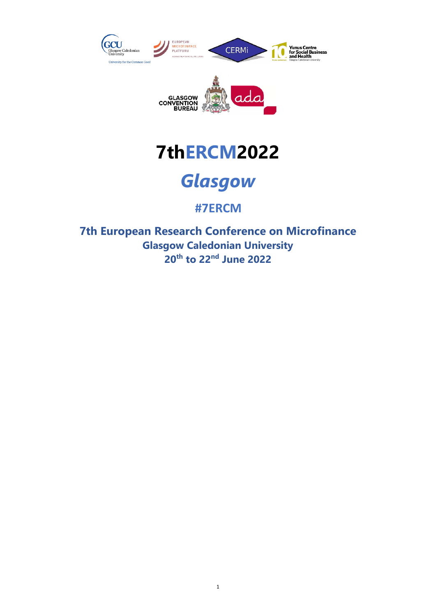







# **#7ERCM**

**7th European Research Conference on Microfinance Glasgow Caledonian University 20th to 22nd June 2022**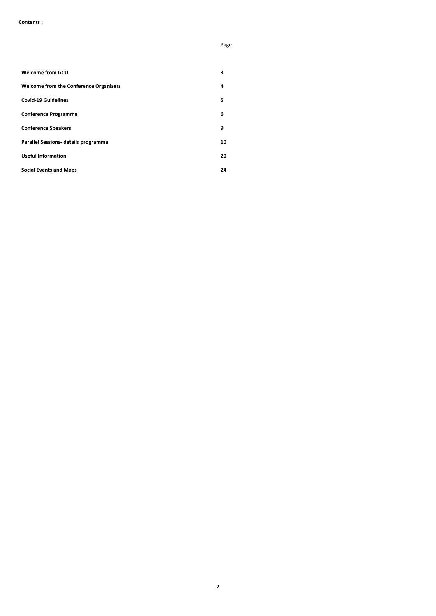### **Contents :**

Page

|                                               | rage |
|-----------------------------------------------|------|
|                                               |      |
| <b>Welcome from GCU</b>                       | 3    |
| <b>Welcome from the Conference Organisers</b> | 4    |
| <b>Covid-19 Guidelines</b>                    | 5    |
| <b>Conference Programme</b>                   | 6    |
| <b>Conference Speakers</b>                    | 9    |
| <b>Parallel Sessions- details programme</b>   | 10   |
| <b>Useful Information</b>                     | 20   |
| <b>Social Events and Maps</b>                 | 24   |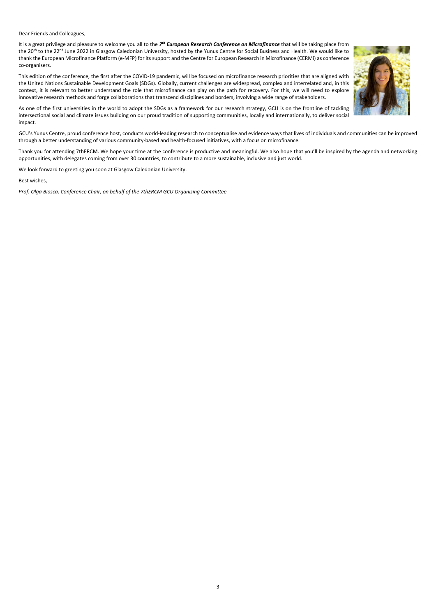Dear Friends and Colleagues,

It is a great privilege and pleasure to welcome you all to the *7th European Research Conference on Microfinance* that will be taking place from the 20<sup>th</sup> to the 22<sup>nd</sup> June 2022 in Glasgow Caledonian University, hosted by the Yunus Centre for Social Business and Health. We would like to thank the European Microfinance Platform (e-MFP) for its support and the Centre for European Research in Microfinance (CERMi) as conference co-organisers.



This edition of the conference, the first after the COVID-19 pandemic, will be focused on microfinance research priorities that are aligned with the United Nations Sustainable Development Goals (SDGs). Globally, current challenges are widespread, complex and interrelated and, in this context, it is relevant to better understand the role that microfinance can play on the path for recovery. For this, we will need to explore innovative research methods and forge collaborations that transcend disciplines and borders, involving a wide range of stakeholders.

As one of the first universities in the world to adopt the SDGs as a framework for our research strategy, GCU is on the frontline of tackling intersectional social and climate issues building on our proud tradition of supporting communities, locally and internationally, to deliver social impact.

GCU's Yunus Centre, proud conference host, conducts world-leading research to conceptualise and evidence ways that lives of individuals and communities can be improved through a better understanding of various community-based and health-focused initiatives, with a focus on microfinance.

Thank you for attending 7thERCM. We hope your time at the conference is productive and meaningful. We also hope that you'll be inspired by the agenda and networking opportunities, with delegates coming from over 30 countries, to contribute to a more sustainable, inclusive and just world.

We look forward to greeting you soon at Glasgow Caledonian University.

Best wishes,

*Prof. Olga Biosca, Conference Chair, on behalf of the 7thERCM GCU Organising Committee*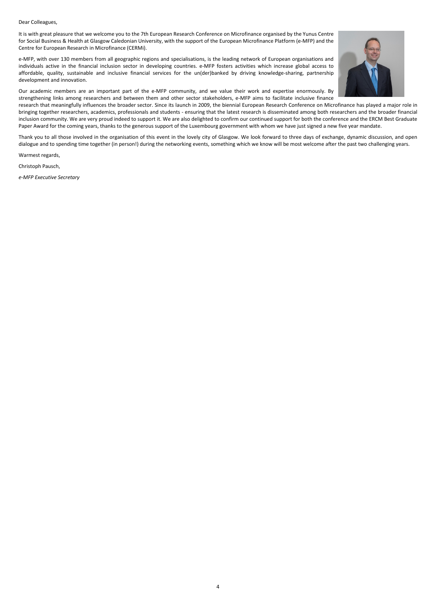### Dear Colleagues,

It is with great pleasure that we welcome you to the 7th European Research Conference on Microfinance organised by the Yunus Centre for Social Business & Health at Glasgow Caledonian University, with the support of the European Microfinance Platform (e-MFP) and the Centre for European Research in Microfinance (CERMi).

research that meaningfully influences the broader sector. Since its launch in 2009, the biennial European Research Conference on Microfinance has played a major role in bringing together researchers, academics, professionals and students - ensuring that the latest research is disseminated among both researchers and the broader financial inclusion community. We are very proud indeed to support it. We are also delighted to confirm our continued support for both the conference and the ERCM Best Graduate Paper Award for the coming years, thanks to the generous support of the Luxembourg government with whom we have just signed a new five year mandate.

e-MFP, with over 130 members from all geographic regions and specialisations, is the leading network of European organisations and individuals active in the financial inclusion sector in developing countries. e-MFP fosters activities which increase global access to affordable, quality, sustainable and inclusive financial services for the un(der)banked by driving knowledge-sharing, partnership development and innovation.



Our academic members are an important part of the e-MFP community, and we value their work and expertise enormously. By strengthening links among researchers and between them and other sector stakeholders, e-MFP aims to facilitate inclusive finance

Thank you to all those involved in the organisation of this event in the lovely city of Glasgow. We look forward to three days of exchange, dynamic discussion, and open dialogue and to spending time together (in person!) during the networking events, something which we know will be most welcome after the past two challenging years.

Warmest regards,

Christoph Pausch,

*e-MFP Executive Secretary*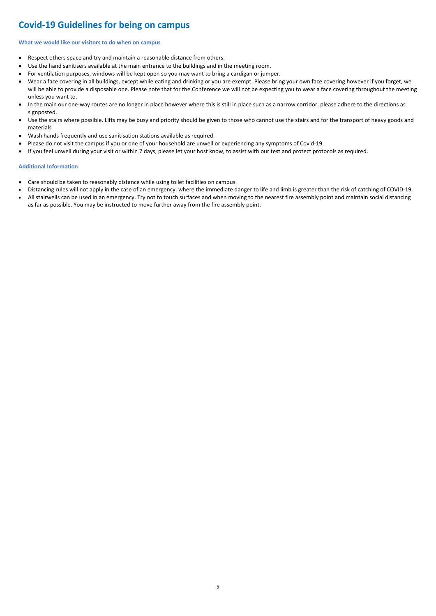# **Covid-19 Guidelines for being on campus**

### **What we would like our visitors to do when on campus**

- Respect others space and try and maintain a reasonable distance from others.
- Use the hand sanitisers available at the main entrance to the buildings and in the meeting room.
- For ventilation purposes, windows will be kept open so you may want to bring a cardigan or jumper.
- Wear a face covering in all buildings, except while eating and drinking or you are exempt. Please bring your own face covering however if you forget, we will be able to provide a disposable one. Please note that for the Conference we will not be expecting you to wear a face covering throughout the meeting unless you want to.
- In the main our one-way routes are no longer in place however where this is still in place such as a narrow corridor, please adhere to the directions as signposted.
- Use the stairs where possible. Lifts may be busy and priority should be given to those who cannot use the stairs and for the transport of heavy goods and materials
- Wash hands frequently and use sanitisation stations available as required.
- Please do not visit the campus if you or one of your household are unwell or experiencing any symptoms of Covid-19.
- If you feel unwell during your visit or within 7 days, please let your host know, to assist with our test and protect protocols as required.

### **Additional Information**

- Care should be taken to reasonably distance while using toilet facilities on campus.
- Distancing rules will not apply in the case of an emergency, where the immediate danger to life and limb is greater than the risk of catching of COVID-19.
- All stairwells can be used in an emergency. Try not to touch surfaces and when moving to the nearest fire assembly point and maintain social distancing as far as possible. You may be instructed to move further away from the fire assembly point.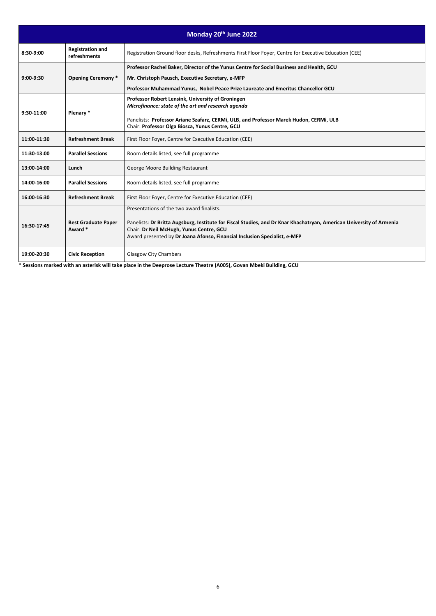**\* Sessions marked with an asterisk will take place in the Deeprose Lecture Theatre (A005), Govan Mbeki Building, GCU**

| Monday 20th June 2022 |                                         |                                                                                                                                                                                                                                                                                            |  |
|-----------------------|-----------------------------------------|--------------------------------------------------------------------------------------------------------------------------------------------------------------------------------------------------------------------------------------------------------------------------------------------|--|
| 8:30-9:00             | <b>Registration and</b><br>refreshments | Registration Ground floor desks, Refreshments First Floor Foyer, Centre for Executive Education (CEE)                                                                                                                                                                                      |  |
| $9:00-9:30$           | <b>Opening Ceremony *</b>               | Professor Rachel Baker, Director of the Yunus Centre for Social Business and Health, GCU<br>Mr. Christoph Pausch, Executive Secretary, e-MFP<br>Professor Muhammad Yunus, Nobel Peace Prize Laureate and Emeritus Chancellor GCU                                                           |  |
| 9:30-11:00            | Plenary *                               | Professor Robert Lensink, University of Groningen<br>Microfinance: state of the art and research agenda<br>Panelists: Professor Ariane Szafarz, CERMi, ULB, and Professor Marek Hudon, CERMi, ULB<br>Chair: Professor Olga Biosca, Yunus Centre, GCU                                       |  |
| 11:00-11:30           | <b>Refreshment Break</b>                | First Floor Foyer, Centre for Executive Education (CEE)                                                                                                                                                                                                                                    |  |
| 11:30-13:00           | <b>Parallel Sessions</b>                | Room details listed, see full programme                                                                                                                                                                                                                                                    |  |
| 13:00-14:00           | Lunch                                   | George Moore Building Restaurant                                                                                                                                                                                                                                                           |  |
| 14:00-16:00           | <b>Parallel Sessions</b>                | Room details listed, see full programme                                                                                                                                                                                                                                                    |  |
| 16:00-16:30           | <b>Refreshment Break</b>                | First Floor Foyer, Centre for Executive Education (CEE)                                                                                                                                                                                                                                    |  |
| 16:30-17:45           | <b>Best Graduate Paper</b><br>Award *   | Presentations of the two award finalists.<br>Panelists: Dr Britta Augsburg, Institute for Fiscal Studies, and Dr Knar Khachatryan, American University of Armenia<br>Chair: Dr Neil McHugh, Yunus Centre, GCU<br>Award presented by Dr Joana Afonso, Financial Inclusion Specialist, e-MFP |  |
| 19:00-20:30           | <b>Civic Reception</b>                  | <b>Glasgow City Chambers</b>                                                                                                                                                                                                                                                               |  |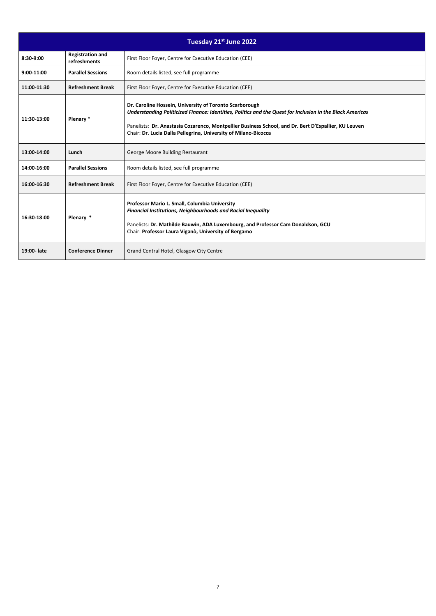| Tuesday 21st June 2022 |                                         |                                                                                                                                                                                                                                                                                                                                                 |  |
|------------------------|-----------------------------------------|-------------------------------------------------------------------------------------------------------------------------------------------------------------------------------------------------------------------------------------------------------------------------------------------------------------------------------------------------|--|
| 8:30-9:00              | <b>Registration and</b><br>refreshments | First Floor Foyer, Centre for Executive Education (CEE)                                                                                                                                                                                                                                                                                         |  |
| $9:00-11:00$           | <b>Parallel Sessions</b>                | Room details listed, see full programme                                                                                                                                                                                                                                                                                                         |  |
| 11:00-11:30            | <b>Refreshment Break</b>                | First Floor Foyer, Centre for Executive Education (CEE)                                                                                                                                                                                                                                                                                         |  |
| 11:30-13:00            | Plenary *                               | Dr. Caroline Hossein, University of Toronto Scarborough<br>Understanding Politicized Finance: Identities, Politics and the Quest for Inclusion in the Black Americas<br>Panelists: Dr. Anastasia Cozarenco, Montpellier Business School, and Dr. Bert D'Espallier, KU Leuven<br>Chair: Dr. Lucia Dalla Pellegrina, University of Milano-Bicocca |  |
| 13:00-14:00            | Lunch                                   | George Moore Building Restaurant                                                                                                                                                                                                                                                                                                                |  |
| 14:00-16:00            | <b>Parallel Sessions</b>                | Room details listed, see full programme                                                                                                                                                                                                                                                                                                         |  |
| 16:00-16:30            | <b>Refreshment Break</b>                | First Floor Foyer, Centre for Executive Education (CEE)                                                                                                                                                                                                                                                                                         |  |
| 16:30-18:00            | Plenary *                               | Professor Mario L. Small, Columbia University<br><b>Financial Institutions, Neighbourhoods and Racial Inequality</b><br>Panelists: Dr. Mathilde Bauwin, ADA Luxembourg, and Professor Cam Donaldson, GCU<br>Chair: Professor Laura Viganò, University of Bergamo                                                                                |  |
| 19:00-late             | <b>Conference Dinner</b>                | Grand Central Hotel, Glasgow City Centre                                                                                                                                                                                                                                                                                                        |  |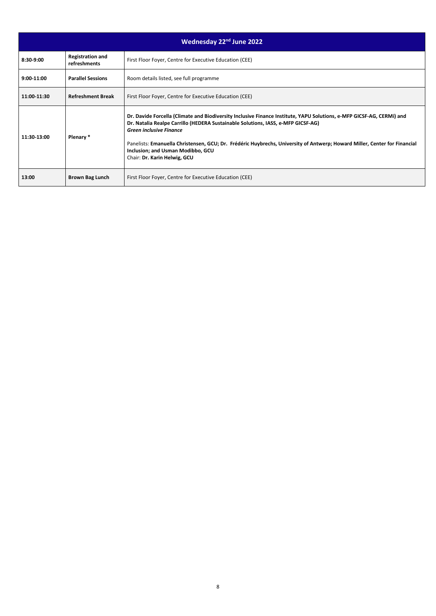| Wednesday 22 <sup>nd</sup> June 2022 |                                         |                                                                                                                                                                                                                                                                                                                                                                                                                                               |  |
|--------------------------------------|-----------------------------------------|-----------------------------------------------------------------------------------------------------------------------------------------------------------------------------------------------------------------------------------------------------------------------------------------------------------------------------------------------------------------------------------------------------------------------------------------------|--|
| 8:30-9:00                            | <b>Registration and</b><br>refreshments | First Floor Foyer, Centre for Executive Education (CEE)                                                                                                                                                                                                                                                                                                                                                                                       |  |
| $9:00-11:00$                         | <b>Parallel Sessions</b>                | Room details listed, see full programme                                                                                                                                                                                                                                                                                                                                                                                                       |  |
| 11:00-11:30                          | <b>Refreshment Break</b>                | First Floor Foyer, Centre for Executive Education (CEE)                                                                                                                                                                                                                                                                                                                                                                                       |  |
| 11:30-13:00                          | Plenary *                               | Dr. Davide Forcella (Climate and Biodiversity Inclusive Finance Institute, YAPU Solutions, e-MFP GICSF-AG, CERMi) and<br>Dr. Natalia Realpe Carrillo (HEDERA Sustainable Solutions, IASS, e-MFP GICSF-AG)<br><b>Green inclusive Finance</b><br>Panelists: Emanuella Christensen, GCU; Dr. Frédéric Huybrechs, University of Antwerp; Howard Miller, Center for Financial<br>Inclusion; and Usman Modibbo, GCU<br>Chair: Dr. Karin Helwig, GCU |  |
| 13:00                                | <b>Brown Bag Lunch</b>                  | First Floor Foyer, Centre for Executive Education (CEE)                                                                                                                                                                                                                                                                                                                                                                                       |  |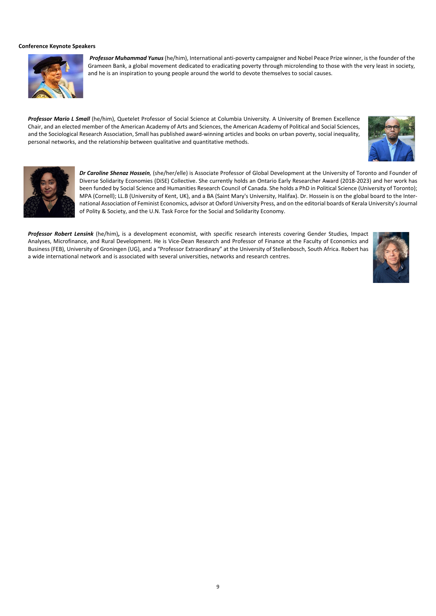### **Conference Keynote Speakers**



*Professor Muhammad Yunus*(he/him), International anti-poverty campaigner and Nobel Peace Prize winner, isthe founder of the Grameen Bank, a global movement dedicated to eradicating poverty through microlending to those with the very least in society, and he is an inspiration to young people around the world to devote themselves to social causes.

*Professor Mario L Small* (he/him), Quetelet Professor of Social Science at Columbia University. A University of Bremen Excellence Chair, and an elected member of the American Academy of Arts and Sciences, the American Academy of Political and Social Sciences, and the Sociological Research Association, Small has published award-winning articles and books on urban poverty, social inequality, personal networks, and the relationship between qualitative and quantitative methods.





*Dr Caroline Shenaz Hossein,* (she/her/elle) is Associate Professor of Global Development at the University of Toronto and Founder of Diverse Solidarity Economies (DiSE) Collective. She currently holds an Ontario Early Researcher Award (2018-2023) and her work has been funded by Social Science and Humanities Research Council of Canada. She holds a PhD in Political Science (University of Toronto); MPA (Cornell); LL.B (University of Kent, UK), and a BA (Saint Mary's University, Halifax). Dr. Hossein is on the global board to the International Association of Feminist Economics, advisor at Oxford University Press, and on the editorial boards of Kerala University'sJournal of Polity & Society, and the U.N. Task Force for the Social and Solidarity Economy.

*Professor Robert Lensink* (he/him)**,** is a development economist, with specific research interests covering Gender Studies, Impact Analyses, Microfinance, and Rural Development. He is Vice-Dean Research and Professor of Finance at the Faculty of Economics and Business (FEB), University of Groningen (UG), and a "Professor Extraordinary" at the University of Stellenbosch, South Africa. Robert has a wide international network and is associated with several universities, networks and research centres.

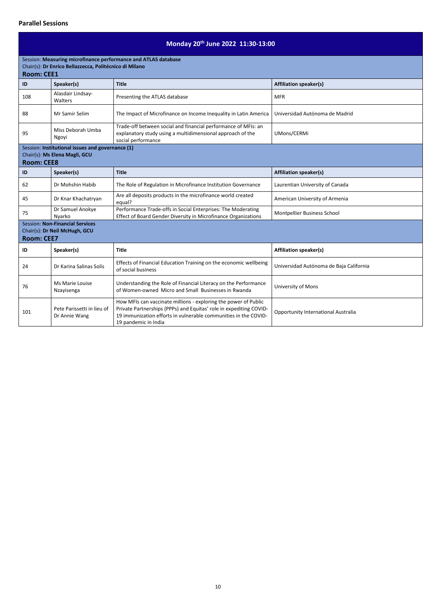## **Parallel Sessions**

# **Monday 20th June 2022 11:30-13:00**

| Session: Measuring microfinance performance and ATLAS database |                                                        |                                                                                                                                                                                                                                  |                                            |
|----------------------------------------------------------------|--------------------------------------------------------|----------------------------------------------------------------------------------------------------------------------------------------------------------------------------------------------------------------------------------|--------------------------------------------|
| <b>Room: CEE1</b>                                              | Chair(s): Dr Enrico Bellazzecca, Politécnico di Milano |                                                                                                                                                                                                                                  |                                            |
|                                                                |                                                        |                                                                                                                                                                                                                                  |                                            |
| ID                                                             | Speaker(s)                                             | <b>Title</b>                                                                                                                                                                                                                     | <b>Affiliation speaker(s)</b>              |
| 108                                                            | Alasdair Lindsay-<br>Walters                           | Presenting the ATLAS database                                                                                                                                                                                                    | <b>MFR</b>                                 |
| 88                                                             | Mr Samir Selim                                         | The Impact of Microfinance on Income Inequality in Latin America                                                                                                                                                                 | Universidad Autónoma de Madrid             |
| 95                                                             | Miss Deborah Umba<br>Ngoyi                             | Trade-off between social and financial performance of MFIs: an<br>explanatory study using a multidimensional approach of the<br>social performance                                                                               | UMons/CERMi                                |
|                                                                | Session: Institutional issues and governance (1)       |                                                                                                                                                                                                                                  |                                            |
| <b>Room: CEE8</b>                                              | Chair(s): Ms Elena Magli, GCU                          |                                                                                                                                                                                                                                  |                                            |
|                                                                |                                                        |                                                                                                                                                                                                                                  |                                            |
| ID                                                             | Speaker(s)                                             | <b>Title</b>                                                                                                                                                                                                                     | <b>Affiliation speaker(s)</b>              |
| 62                                                             | Dr Mohshin Habib                                       | The Role of Regulation in Microfinance Institution Governance                                                                                                                                                                    | Laurentian University of Canada            |
| 45                                                             | Dr Knar Khachatryan                                    | Are all deposits products in the microfinance world created<br>equal?                                                                                                                                                            | American University of Armenia             |
| 75                                                             | Dr Samuel Anokye<br>Nyarko                             | Performance Trade-offs in Social Enterprises: The Moderating<br>Effect of Board Gender Diversity in Microfinance Organizations                                                                                                   | Montpellier Business School                |
|                                                                | <b>Session: Non-Financial Services</b>                 |                                                                                                                                                                                                                                  |                                            |
|                                                                | Chair(s): Dr Neil McHugh, GCU                          |                                                                                                                                                                                                                                  |                                            |
| <b>Room: CEE7</b>                                              |                                                        |                                                                                                                                                                                                                                  |                                            |
| ID                                                             | Speaker(s)                                             | <b>Title</b>                                                                                                                                                                                                                     | <b>Affiliation speaker(s)</b>              |
| 24                                                             | Dr Karina Salinas Solís                                | Effects of Financial Education Training on the economic wellbeing<br>of social business                                                                                                                                          | Universidad Autónoma de Baja California    |
| 76                                                             | Ms Marie Louise<br>Nzayisenga                          | Understanding the Role of Financial Literacy on the Performance<br>of Women-owned Micro and Small Businesses in Rwanda                                                                                                           | University of Mons                         |
| 101                                                            | Pete Parissetti in lieu of<br>Dr Annie Wang            | How MFIs can vaccinate millions - exploring the power of Public<br>Private Partnerships (PPPs) and Equitas' role in expediting COVID-<br>19 immunization efforts in vulnerable communities in the COVID-<br>19 pandemic in India | <b>Opportunity International Australia</b> |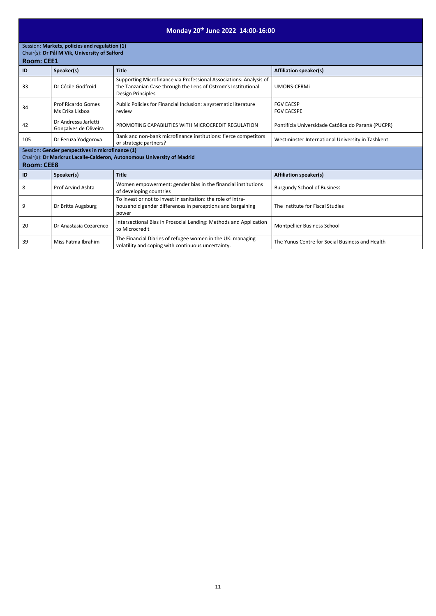# **Monday 20th June 2022 14:00-16:00**

Session: **Markets, policies and regulation (1)** Chair(s): **Dr Pål M Vik, University of Salford**

|     | <b>Room: CEE1</b>                                                                                                                                |                                                                                                                                                          |                                                    |  |
|-----|--------------------------------------------------------------------------------------------------------------------------------------------------|----------------------------------------------------------------------------------------------------------------------------------------------------------|----------------------------------------------------|--|
| ID  | Speaker(s)                                                                                                                                       | <b>Title</b>                                                                                                                                             | <b>Affiliation speaker(s)</b>                      |  |
| 33  | Dr Cécile Godfroid                                                                                                                               | Supporting Microfinance via Professional Associations: Analysis of<br>the Tanzanian Case through the Lens of Ostrom's Institutional<br>Design Principles | UMONS-CERMI                                        |  |
| 34  | <b>Prof Ricardo Gomes</b><br>Ms Erika Lisboa                                                                                                     | Public Policies for Financial Inclusion: a systematic literature<br>review                                                                               | <b>FGV EAESP</b><br><b>FGV EAESPE</b>              |  |
| 42  | Dr Andressa Jarletti<br>Gonçalves de Oliveira                                                                                                    | PROMOTING CAPABILITIES WITH MICROCREDIT REGULATION                                                                                                       | Pontifícia Universidade Católica do Paraná (PUCPR) |  |
| 105 | Dr Feruza Yodgorova                                                                                                                              | Bank and non-bank microfinance institutions: fierce competitors<br>or strategic partners?                                                                | Westminster International University in Tashkent   |  |
|     | Session: Gender perspectives in microfinance (1)<br>Chair(s): Dr Maricruz Lacalle-Calderon, Autonomous University of Madrid<br><b>Room: CEE8</b> |                                                                                                                                                          |                                                    |  |
| ID  | Speaker(s)                                                                                                                                       | <b>Title</b>                                                                                                                                             | <b>Affiliation speaker(s)</b>                      |  |
| 8   | Prof Arvind Ashta                                                                                                                                | Women empowerment: gender bias in the financial institutions<br>of developing countries                                                                  | <b>Burgundy School of Business</b>                 |  |
| 9   | Dr Britta Augsburg                                                                                                                               | To invest or not to invest in sanitation: the role of intra-<br>household gender differences in perceptions and bargaining<br>power                      | The Institute for Fiscal Studies                   |  |
| 20  | Dr Anastasia Cozarenco                                                                                                                           | Intersectional Bias in Prosocial Lending: Methods and Application<br>to Microcredit                                                                      | Montpellier Business School                        |  |
| 39  | Miss Fatma Ibrahim                                                                                                                               | The Financial Diaries of refugee women in the UK: managing<br>volatility and coping with continuous uncertainty.                                         | The Yunus Centre for Social Business and Health    |  |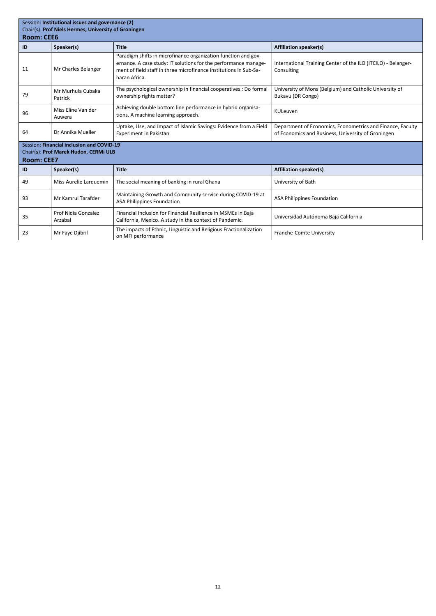| Session: Institutional issues and governance (2)<br>Chair(s): Prof Niels Hermes, University of Groningen |                                |                                                                                                                                                                                                                         |                                                                                                                  |  |
|----------------------------------------------------------------------------------------------------------|--------------------------------|-------------------------------------------------------------------------------------------------------------------------------------------------------------------------------------------------------------------------|------------------------------------------------------------------------------------------------------------------|--|
| <b>Room: CEE6</b>                                                                                        |                                |                                                                                                                                                                                                                         |                                                                                                                  |  |
| ID                                                                                                       | Speaker(s)                     | <b>Title</b>                                                                                                                                                                                                            | <b>Affiliation speaker(s)</b>                                                                                    |  |
| 11                                                                                                       | Mr Charles Belanger            | Paradigm shifts in microfinance organization function and gov-<br>ernance. A case study: IT solutions for the performance manage-<br>ment of field staff in three microfinance institutions in Sub-Sa-<br>haran Africa. | International Training Center of the ILO (ITCILO) - Belanger-<br>Consulting                                      |  |
| 79                                                                                                       | Mr Murhula Cubaka<br>Patrick   | The psychological ownership in financial cooperatives : Do formal<br>ownership rights matter?                                                                                                                           | University of Mons (Belgium) and Catholic University of<br>Bukavu (DR Congo)                                     |  |
| 96                                                                                                       | Miss Eline Van der<br>Auwera   | Achieving double bottom line performance in hybrid organisa-<br>tions. A machine learning approach.                                                                                                                     | KULeuven                                                                                                         |  |
| 64                                                                                                       | Dr Annika Mueller              | Uptake, Use, and Impact of Islamic Savings: Evidence from a Field<br><b>Experiment in Pakistan</b>                                                                                                                      | Department of Economics, Econometrics and Finance, Faculty<br>of Economics and Business, University of Groningen |  |
| Session: Financial inclusion and COVID-19<br>Chair(s): Prof Marek Hudon, CERMi ULB<br><b>Room: CEE7</b>  |                                |                                                                                                                                                                                                                         |                                                                                                                  |  |
| ID                                                                                                       | Speaker(s)                     | <b>Title</b>                                                                                                                                                                                                            | <b>Affiliation speaker(s)</b>                                                                                    |  |
| 49                                                                                                       | Miss Aurelie Larquemin         | The social meaning of banking in rural Ghana                                                                                                                                                                            | University of Bath                                                                                               |  |
| 93                                                                                                       | Mr Kamrul Tarafder             | Maintaining Growth and Community service during COVID-19 at<br><b>ASA Philippines Foundation</b>                                                                                                                        | <b>ASA Philippines Foundation</b>                                                                                |  |
| 35                                                                                                       | Prof Nidia Gonzalez<br>Arzabal | Financial Inclusion for Financial Resilience in MSMEs in Baja<br>California, Mexico. A study in the context of Pandemic.                                                                                                | Universidad Autónoma Baja California                                                                             |  |
| 23                                                                                                       | Mr Faye Djibril                | The impacts of Ethnic, Linguistic and Religious Fractionalization<br>on MFI performance                                                                                                                                 | Franche-Comte University                                                                                         |  |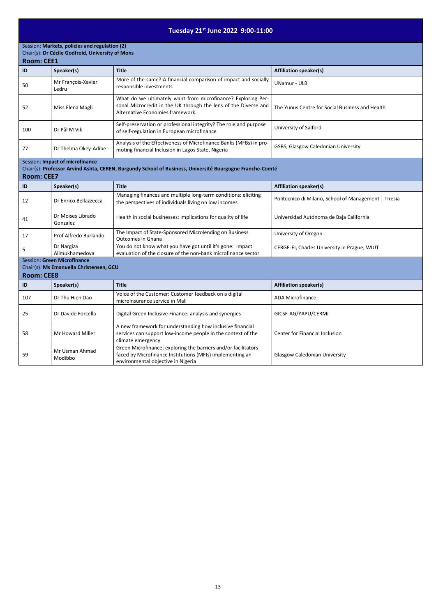# **Tuesday 21st June 2022 9:00-11:00**

### Session: **Markets, policies and regulation (2)** Chair(s): **Dr Cécile Godfroid, University of Mons**

| <b>Room: CEE1</b> |  |
|-------------------|--|
|-------------------|--|

| .   |                             |                                                                                                                                                                     |                                                 |  |
|-----|-----------------------------|---------------------------------------------------------------------------------------------------------------------------------------------------------------------|-------------------------------------------------|--|
| ID  | Speaker(s)                  | <b>Title</b>                                                                                                                                                        | <b>Affiliation speaker(s)</b>                   |  |
| 50  | Mr François-Xavier<br>Ledru | More of the same? A financial comparison of impact and socially<br>responsible investments                                                                          | <b>UNamur - ULB</b>                             |  |
| 52  | Miss Elena Magli            | What do we ultimately want from microfinance? Exploring Per-<br>sonal Microcredit in the UK through the lens of the Diverse and<br>Alternative Economies framework. | The Yunus Centre for Social Business and Health |  |
| 100 | Dr Pål M Vik                | Self-preservation or professional integrity? The role and purpose<br>of self-regulation in European microfinance                                                    | University of Salford                           |  |
| 77  | Dr Thelma Okey-Adibe        | Analysis of the Effectiveness of Microfinance Banks (MFBs) in pro-<br>moting financial Inclusion in Lagos State, Nigeria                                            | GSBS, Glasgow Caledonian University             |  |

### Session: **Impact of microfinance**

Chair(s): **Professor Arvind Ashta, CEREN, Burgundy School of Business, Université Bourgogne Franche-Comté**

**Room: CEE7**

| ID                                                                                                 | Speaker(s)                    | <b>Title</b>                                                                                                                                                                          | <b>Affiliation speaker(s)</b>                         |  |
|----------------------------------------------------------------------------------------------------|-------------------------------|---------------------------------------------------------------------------------------------------------------------------------------------------------------------------------------|-------------------------------------------------------|--|
| 12                                                                                                 | Dr Enrico Bellazzecca         | Managing finances and multiple long-term conditions: eliciting<br>the perspectives of individuals living on low incomes                                                               | Politecnico di Milano, School of Management   Tiresia |  |
| 41                                                                                                 | Dr Moises Librado<br>Gonzalez | Health in social businesses: implications for quality of life                                                                                                                         | Universidad Autónoma de Baja California               |  |
| 17                                                                                                 | Prof Alfredo Burlando         | The Impact of State-Sponsored Microlending on Business<br><b>Outcomes in Ghana</b>                                                                                                    | University of Oregon                                  |  |
| 5                                                                                                  | Dr Nargiza<br>Alimukhamedova  | You do not know what you have got until it's gone: Impact<br>evaluation of the closure of the non-bank microfinance sector                                                            | CERGE-EI, Charles University in Prague; WIUT          |  |
| <b>Session: Green Microfinance</b><br>Chair(s): Ms Emanuella Christensen, GCU<br><b>Room: CEE8</b> |                               |                                                                                                                                                                                       |                                                       |  |
| ID                                                                                                 | Speaker(s)                    | <b>Title</b>                                                                                                                                                                          | <b>Affiliation speaker(s)</b>                         |  |
| 107                                                                                                | Dr Thu Hien Dao               | Voice of the Customer: Customer feedback on a digital<br>microinsurance service in Mali                                                                                               | <b>ADA Microfinance</b>                               |  |
| 25                                                                                                 | Dr Davide Forcella            | Digital Green Inclusive Finance: analysis and synergies                                                                                                                               | GICSF-AG/YAPU/CERMi                                   |  |
| 58                                                                                                 | Mr Howard Miller              | A new framework for understanding how inclusive financial<br>services can support low-income people in the context of the<br>climate emergency                                        | Center for Financial Inclusion                        |  |
| 59                                                                                                 | Mr Usman Ahmad<br>Modibbo     | Green Microfinance: exploring the barriers and/or facilitators<br>faced by Microfinance Institutions (MFIs) implementing an<br>المستحقق والمستحدث والمنافس والمستنبذ ومناور والمناورة | <b>Glasgow Caledonian University</b>                  |  |

environmental objective in Nigeria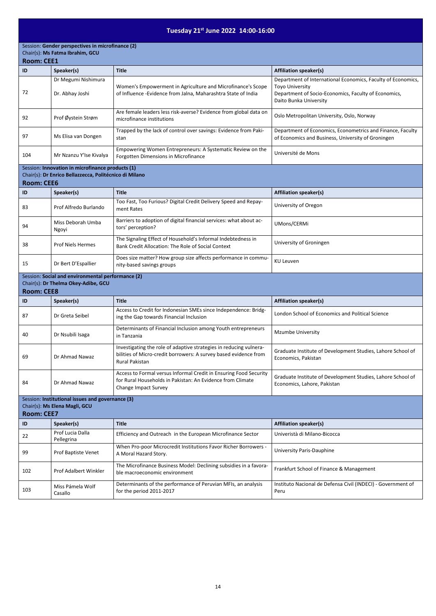# **Tuesday 21st June 2022 14:00-16:00**

Session: **Gender perspectives in microfinance (2)** Chair(s): **Ms Fatma Ibrahim, GCU**

### **Room: CEE1**

| ID                                                                                                     | Speaker(s)                                                                                                 | <b>Title</b>                                                                                                                                             | <b>Affiliation speaker(s)</b>                                                                                                                                            |
|--------------------------------------------------------------------------------------------------------|------------------------------------------------------------------------------------------------------------|----------------------------------------------------------------------------------------------------------------------------------------------------------|--------------------------------------------------------------------------------------------------------------------------------------------------------------------------|
| 72                                                                                                     | Dr Megumi Nishimura<br>Dr. Abhay Joshi                                                                     | Women's Empowerment in Agriculture and Microfinance's Scope<br>of Influence -Evidence from Jalna, Maharashtra State of India                             | Department of International Economics, Faculty of Economics,<br><b>Toyo University</b><br>Department of Socio-Economics, Faculty of Economics,<br>Daito Bunka University |
| 92                                                                                                     | Prof Øystein Strøm                                                                                         | Are female leaders less risk-averse? Evidence from global data on<br>microfinance institutions                                                           | Oslo Metropolitan University, Oslo, Norway                                                                                                                               |
| 97                                                                                                     | Ms Elisa van Dongen                                                                                        | Trapped by the lack of control over savings: Evidence from Paki-<br>stan                                                                                 | Department of Economics, Econometrics and Finance, Faculty<br>of Economics and Business, University of Groningen                                                         |
| 104                                                                                                    | Mr Nzanzu Y'Ise Kivalya                                                                                    | Empowering Women Entrepreneurs: A Systematic Review on the<br>Forgotten Dimensions in Microfinance                                                       | Université de Mons                                                                                                                                                       |
| <b>Room: CEE6</b>                                                                                      | Session: Innovation in microfinance products (1)<br>Chair(s): Dr Enrico Bellazzecca, Politécnico di Milano |                                                                                                                                                          |                                                                                                                                                                          |
| ID                                                                                                     | Speaker(s)                                                                                                 | <b>Title</b>                                                                                                                                             | <b>Affiliation speaker(s)</b>                                                                                                                                            |
| 83                                                                                                     | Prof Alfredo Burlando                                                                                      | Too Fast, Too Furious? Digital Credit Delivery Speed and Repay-<br>ment Rates                                                                            | University of Oregon                                                                                                                                                     |
| 94                                                                                                     | Miss Deborah Umba<br>Ngoyi                                                                                 | Barriers to adoption of digital financial services: what about ac-<br>tors' perception?                                                                  | UMons/CERMi                                                                                                                                                              |
| 38                                                                                                     | <b>Prof Niels Hermes</b>                                                                                   | The Signaling Effect of Household's Informal Indebtedness in<br>Bank Credit Allocation: The Role of Social Context                                       | University of Groningen                                                                                                                                                  |
| 15                                                                                                     | Dr Bert D'Espallier                                                                                        | Does size matter? How group size affects performance in commu-<br>nity-based savings groups                                                              | <b>KU Leuven</b>                                                                                                                                                         |
| <b>Room: CEE8</b>                                                                                      | Session: Social and environmental performance (2)<br>Chair(s): Dr Thelma Okey-Adibe, GCU                   |                                                                                                                                                          |                                                                                                                                                                          |
| ID                                                                                                     | Speaker(s)                                                                                                 | <b>Title</b>                                                                                                                                             | <b>Affiliation speaker(s)</b>                                                                                                                                            |
| 87                                                                                                     | Dr Greta Seibel                                                                                            | Access to Credit for Indonesian SMEs since Independence: Bridg-<br>ing the Gap towards Financial Inclusion                                               | London School of Economics and Political Science                                                                                                                         |
| 40                                                                                                     | Dr Nsubili Isaga                                                                                           | Determinants of Financial Inclusion among Youth entrepreneurs<br>in Tanzania                                                                             | <b>Mzumbe University</b>                                                                                                                                                 |
| 69                                                                                                     | Dr Ahmad Nawaz                                                                                             | Investigating the role of adaptive strategies in reducing vulnera-<br>bilities of Micro-credit borrowers: A survey based evidence from<br>Rural Pakistan | Graduate Institute of Development Studies, Lahore School of<br>Economics, Pakistan                                                                                       |
| 84                                                                                                     | Dr Ahmad Nawaz                                                                                             | Access to Formal versus Informal Credit in Ensuring Food Security<br>for Rural Households in Pakistan: An Evidence from Climate<br>Change Impact Survey  | Graduate Institute of Development Studies, Lahore School of<br>Economics, Lahore, Pakistan                                                                               |
| Session: Institutional issues and governance (3)<br>Chair(s): Ms Elena Magli, GCU<br><b>Room: CEE7</b> |                                                                                                            |                                                                                                                                                          |                                                                                                                                                                          |
| ID                                                                                                     | Speaker(s)                                                                                                 | <b>Title</b>                                                                                                                                             | <b>Affiliation speaker(s)</b>                                                                                                                                            |
| 22                                                                                                     | Prof Lucia Dalla<br>Pellegrina                                                                             | Efficiency and Outreach in the European Microfinance Sector                                                                                              | Univeristà di Milano-Bicocca                                                                                                                                             |
| 99                                                                                                     | Prof Baptiste Venet                                                                                        | When Pro-poor Microcredit Institutions Favor Richer Borrowers -<br>A Moral Hazard Story.                                                                 | University Paris-Dauphine                                                                                                                                                |

| 102 | Prof Adalbert Winkler | The Microfinance Business Model: Declining subsidies in a favora-<br>ble macroeconomic environment | Frankfurt School of Finance & Management                     |
|-----|-----------------------|----------------------------------------------------------------------------------------------------|--------------------------------------------------------------|
| 103 | Miss Pámela Wolf      | Determinants of the performance of Peruvian MFIs, an analysis                                      | Instituto Nacional de Defensa Civil (INDECI) - Government of |
|     | Casallo               | for the period 2011-2017                                                                           | Peru                                                         |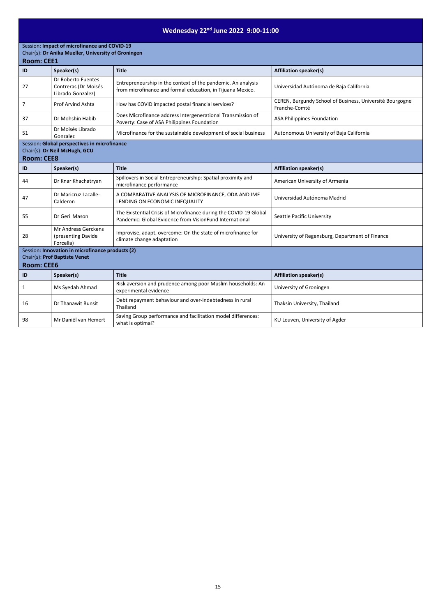# **Wednesday 22nd June 2022 9:00-11:00**

Session: **Impact of microfinance and COVID-19** 

### Chair(s): **Dr Anika Mueller, University of Groningen**

| <b>Room: CEE1</b> |  |
|-------------------|--|
|-------------------|--|

| RUUIII. LEET      |                                                                                   |                                                                                                                              |                                                                           |  |
|-------------------|-----------------------------------------------------------------------------------|------------------------------------------------------------------------------------------------------------------------------|---------------------------------------------------------------------------|--|
| ID                | Speaker(s)                                                                        | <b>Title</b>                                                                                                                 | <b>Affiliation speaker(s)</b>                                             |  |
| 27                | Dr Roberto Fuentes<br>Contreras (Dr Moisés<br>Librado Gonzalez)                   | Entrepreneurship in the context of the pandemic. An analysis<br>from microfinance and formal education, in Tijuana Mexico.   | Universidad Autónoma de Baja California                                   |  |
| $\overline{7}$    | Prof Arvind Ashta                                                                 | How has COVID impacted postal financial services?                                                                            | CEREN, Burgundy School of Business, Université Bourgogne<br>Franche-Comté |  |
| 37                | Dr Mohshin Habib                                                                  | Does Microfinance address Intergenerational Transmission of<br>Poverty: Case of ASA Philippines Foundation                   | <b>ASA Philippines Foundation</b>                                         |  |
| 51                | Dr Moisés Librado<br>Gonzalez                                                     | Microfinance for the sustainable development of social business                                                              | Autonomous University of Baja California                                  |  |
| <b>Room: CEE8</b> | Session: Global perspectives in microfinance<br>Chair(s): Dr Neil McHugh, GCU     |                                                                                                                              |                                                                           |  |
| ID                | Speaker(s)                                                                        | <b>Title</b>                                                                                                                 | <b>Affiliation speaker(s)</b>                                             |  |
| 44                | Dr Knar Khachatryan                                                               | Spillovers in Social Entrepreneurship: Spatial proximity and<br>microfinance performance                                     | American University of Armenia                                            |  |
| 47                | Dr Maricruz Lacalle-<br>Calderon                                                  | A COMPARATIVE ANALYSIS OF MICROFINANCE, ODA AND IMF<br>LENDING ON ECONOMIC INEQUALITY                                        | Universidad Autónoma Madrid                                               |  |
| 55                | Dr Geri Mason                                                                     | The Existential Crisis of Microfinance during the COVID-19 Global<br>Pandemic: Global Evidence from VisionFund International | <b>Seattle Pacific University</b>                                         |  |
| 28                | Mr Andreas Gerckens<br>(presenting Davide<br>Forcella)                            | Improvise, adapt, overcome: On the state of microfinance for<br>climate change adaptation                                    | University of Regensburg, Department of Finance                           |  |
|                   | Session: Innovation in microfinance products (2)<br>Chair(s): Prof Baptiste Venet |                                                                                                                              |                                                                           |  |
| <b>Room: CEE6</b> |                                                                                   |                                                                                                                              |                                                                           |  |
| ID                | Speaker(s)                                                                        | <b>Title</b>                                                                                                                 | <b>Affiliation speaker(s)</b>                                             |  |
| $\mathbf{1}$      | Ms Syedah Ahmad                                                                   | Risk aversion and prudence among poor Muslim households: An<br>experimental evidence                                         | University of Groningen                                                   |  |
| 16                | Dr Thanawit Bunsit                                                                | Debt repayment behaviour and over-indebtedness in rural<br>Thailand                                                          | Thaksin University, Thailand                                              |  |
| 98                | Mr Daniël van Hemert                                                              | Saving Group performance and facilitation model differences:<br>what is optimal?                                             | KU Leuven, University of Agder                                            |  |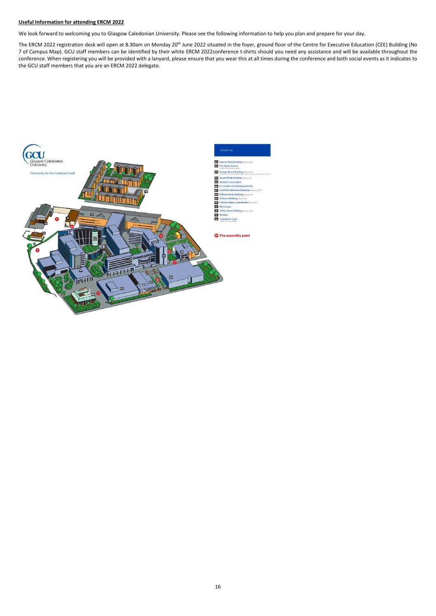### **Useful Information for attending ERCM 2022**

We look forward to welcoming you to Glasgow Caledonian University. Please see the following information to help you plan and prepare for your day.

The ERCM 2022 registration desk will open at 8.30am on Monday 20<sup>th</sup> June 2022 situated in the foyer, ground floor of the Centre for Executive Education (CEE) Building (No 7 of Campus Map). GCU staff members can be identified by their white ERCM 2022conference t-shirts should you need any assistance and will be available throughout the conference. When registering you will be provided with a lanyard, please ensure that you wear this at all times during the conference and both social events as it indicates to the GCU staff members that you are an ERCM 2022 delegate.

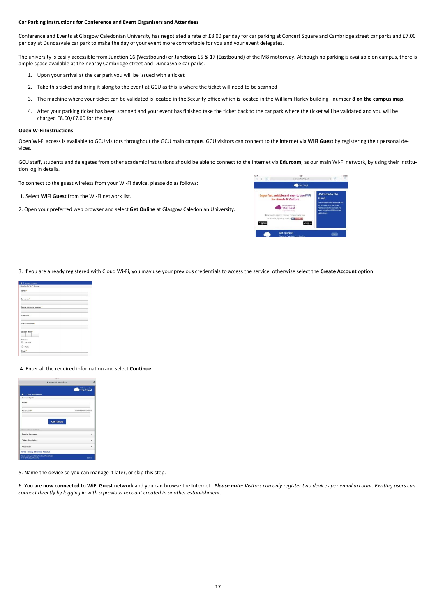### **Car Parking Instructions for Conference and Event Organisers and Attendees**

Conference and Events at Glasgow Caledonian University has negotiated a rate of £8.00 per day for car parking at Concert Square and Cambridge street car parks and £7.00 per day at Dundasvale car park to make the day of your event more comfortable for you and your event delegates.

The university is easily accessible from Junction 16 (Westbound) or Junctions 15 & 17 (Eastbound) of the M8 motorway. Although no parking is available on campus, there is ample space available at the nearby Cambridge street and Dundasvale car parks.

- 1. Upon your arrival at the car park you will be issued with a ticket
- 2. Take this ticket and bring it along to the event at GCU as this is where the ticket will need to be scanned
- 3. The machine where your ticket can be validated is located in the Security office which is located in the William Harley building number **8 on the campus map**.
- 4. After your parking ticket has been scanned and your event has finished take the ticket back to the car park where the ticket will be validated and you will be charged £8.00/£7.00 for the day.

### **Open W-Fi Instructions**

Open Wi-Fi access is available to GCU visitors throughout the GCU main campus. GCU visitors can connect to the internet via **WiFi Guest** by registering their personal devices.

GCU staff, students and delegates from other academic institutions should be able to connect to the Internet via **Eduroam**, as our main Wi-Fi network, by using their institution log in details.

To connect to the guest wireless from your Wi-Fi device, please do as follows:

- 1. Select **WiFi Guest** from the Wi-Fi network list.
- 2. Open your preferred web browser and select **Get Online** at Glasgow Caledonian University.



3. If you are already registered with Cloud Wi-Fi, you may use your previous credentials to access the service, otherwise select the **Create Account** option.

| Create Account<br>۰                         |  |
|---------------------------------------------|--|
| Sign Up for Wi-Fi Access                    |  |
| Name *                                      |  |
| Surname*                                    |  |
| House name or number"                       |  |
| Postcode <sup>+</sup>                       |  |
| Mobile number*                              |  |
| Date of Birth *<br>Gender<br>Female<br>Male |  |
| Email *                                     |  |

#### 4. Enter all the required information and select **Continue**.

| 13:55                                            |                              |
|--------------------------------------------------|------------------------------|
| a service thecloud net                           | C                            |
|                                                  | WIFI Rowered by<br>The Cloud |
| Login / Registration                             |                              |
| Account Sign In                                  |                              |
| Email *                                          |                              |
|                                                  |                              |
| Password *                                       | (Forgotten password?)        |
|                                                  |                              |
| <b>Continue</b><br><b>Profilmy and specially</b> |                              |
| <b>Create Account</b>                            | s                            |
| <b>Other Providers</b>                           | $\rightarrow$                |
| Products                                         | $\overline{\phantom{a}}$     |
| Terms Privacy & Cookies About Us                 |                              |
|                                                  |                              |

5. Name the device so you can manage it later, or skip this step.

6. You are **now connected to WiFi Guest** network and you can browse the Internet. *Please note: Visitors can only register two devices per email account. Existing users can connect directly by logging in with a previous account created in another establishment.*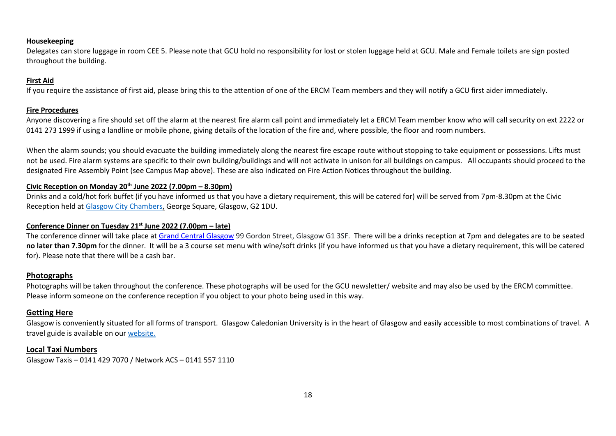### **Housekeeping**

Delegates can store luggage in room CEE 5. Please note that GCU hold no responsibility for lost or stolen luggage held at GCU. Male and Female toilets are sign posted throughout the building.

### **First Aid**

If you require the assistance of first aid, please bring this to the attention of one of the ERCM Team members and they will notify a GCU first aider immediately.

### **Fire Procedures**

Anyone discovering a fire should set off the alarm at the nearest fire alarm call point and immediately let a ERCM Team member know who will call security on ext 2222 or 0141 273 1999 if using a landline or mobile phone, giving details of the location of the fire and, where possible, the floor and room numbers.

When the alarm sounds; you should evacuate the building immediately along the nearest fire escape route without stopping to take equipment or possessions. Lifts must not be used. Fire alarm systems are specific to their own building/buildings and will not activate in unison for all buildings on campus. All occupants should proceed to the designated Fire Assembly Point (see Campus Map above). These are also indicated on Fire Action Notices throughout the building.

### **Civic Reception on Monday 20th June 2022 (7.00pm – 8.30pm)**

Drinks and a cold/hot fork buffet (if you have informed us that you have a dietary requirement, this will be catered for) will be served from 7pm-8.30pm at the Civic Reception held at [Glasgow City Chambers,](https://peoplemakeglasgow.com/things-to-do/top-attractions/city-chambers/glasgow-city-chambers) George Square, Glasgow, G2 1DU.

### **Conference Dinner on Tuesday 21st June 2022 (7.00pm – late)**

The conference dinner will take place at [Grand Central Glasgow](https://www.guestreservations.com/grand-central-hotel-glasgow/booking?msclkid=57552875a540168dcc4c4af3ac3950b8) 99 Gordon Street, Glasgow G1 3SF. There will be a drinks reception at 7pm and delegates are to be seated **no later than 7.30pm** for the dinner. It will be a 3 course set menu with wine/soft drinks (if you have informed us that you have a dietary requirement, this will be catered for). Please note that there will be a cash bar.

### **Photographs**

Photographs will be taken throughout the conference. These photographs will be used for the GCU newsletter/ website and may also be used by the ERCM committee. Please inform someone on the conference reception if you object to your photo being used in this way.

### **Getting Here**

Glasgow is conveniently situated for all forms of transport. Glasgow Caledonian University is in the heart of Glasgow and easily accessible to most combinations of travel. A travel guide is available on our [website.](https://www.gcu.ac.uk/aboutgcu/howtofindus/traveldirections)

### **Local Taxi Numbers**

Glasgow Taxis – 0141 429 7070 / Network ACS – 0141 557 1110